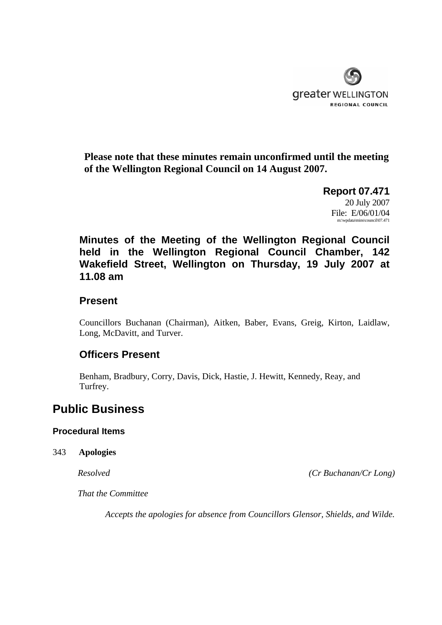

**Please note that these minutes remain unconfirmed until the meeting of the Wellington Regional Council on 14 August 2007.** 

> **Report 07.471**  20 July 2007 File: E/06/01/04 m:\wpdata\mins\council\07.471

**Minutes of the Meeting of the Wellington Regional Council held in the Wellington Regional Council Chamber, 142 Wakefield Street, Wellington on Thursday, 19 July 2007 at 11.08 am** 

# **Present**

Councillors Buchanan (Chairman), Aitken, Baber, Evans, Greig, Kirton, Laidlaw, Long, McDavitt, and Turver.

# **Officers Present**

Benham, Bradbury, Corry, Davis, Dick, Hastie, J. Hewitt, Kennedy, Reay, and Turfrey.

# **Public Business**

## **Procedural Items**

### 343 **Apologies**

*Resolved (Cr Buchanan/Cr Long)* 

*That the Committee* 

*Accepts the apologies for absence from Councillors Glensor, Shields, and Wilde.*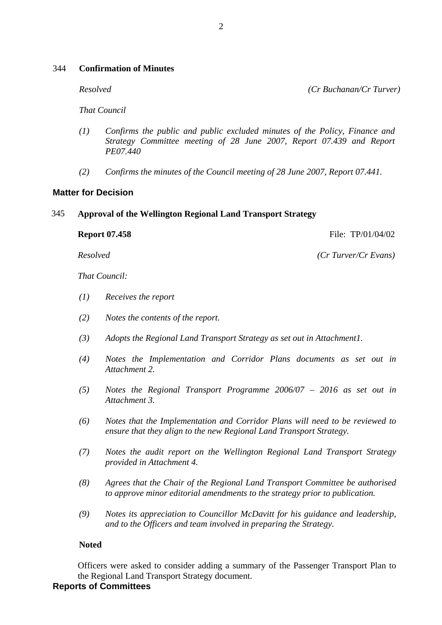### 344 **Confirmation of Minutes**

*Resolved (Cr Buchanan/Cr Turver)* 

*That Council* 

- *(1) Confirms the public and public excluded minutes of the Policy, Finance and Strategy Committee meeting of 28 June 2007, Report 07.439 and Report PE07.440*
- *(2) Confirms the minutes of the Council meeting of 28 June 2007, Report 07.441.*

### **Matter for Decision**

#### 345 **Approval of the Wellington Regional Land Transport Strategy**

**Report 07.458 File: TP**/01/04/02

*Resolved (Cr Turver/Cr Evans)* 

*That Council:* 

- *(1) Receives the report*
- *(2) Notes the contents of the report.*
- *(3) Adopts the Regional Land Transport Strategy as set out in Attachment1.*
- *(4) Notes the Implementation and Corridor Plans documents as set out in Attachment 2.*
- *(5) Notes the Regional Transport Programme 2006/07 2016 as set out in Attachment 3.*
- *(6) Notes that the Implementation and Corridor Plans will need to be reviewed to ensure that they align to the new Regional Land Transport Strategy.*
- *(7) Notes the audit report on the Wellington Regional Land Transport Strategy provided in Attachment 4.*
- *(8) Agrees that the Chair of the Regional Land Transport Committee be authorised to approve minor editorial amendments to the strategy prior to publication.*
- *(9) Notes its appreciation to Councillor McDavitt for his guidance and leadership, and to the Officers and team involved in preparing the Strategy.*

### **Noted**

Officers were asked to consider adding a summary of the Passenger Transport Plan to the Regional Land Transport Strategy document.

### **Reports of Committees**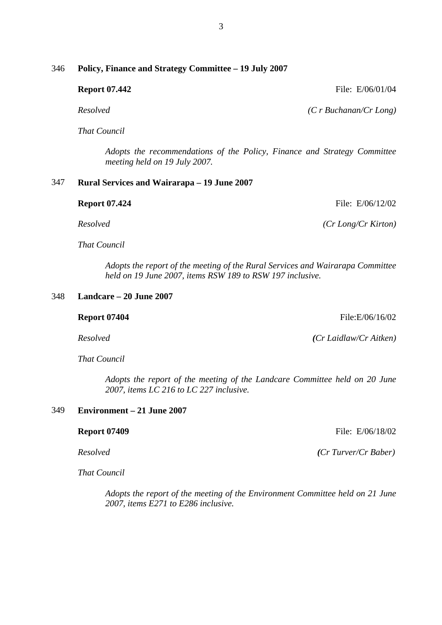## 346 **Policy, Finance and Strategy Committee – 19 July 2007**

**Report 07.442 File: E/06/01/04** 

 *Resolved (C r Buchanan/Cr Long)*

 *That Council* 

 *Adopts the recommendations of the Policy, Finance and Strategy Committee meeting held on 19 July 2007.* 

### 347 **Rural Services and Wairarapa – 19 June 2007**

| <b>Report 07.424</b> | File: $E/06/12/02$  |
|----------------------|---------------------|
| Resolved             | (Cr Long/Cr Kirton) |

 *That Council* 

 *Adopts the report of the meeting of the Rural Services and Wairarapa Committee held on 19 June 2007, items RSW 189 to RSW 197 inclusive.* 

# 348 **Landcare – 20 June 2007**

**Report 07404** File:E/06/16/02

 *That Council* 

 *Adopts the report of the meeting of the Landcare Committee held on 20 June 2007, items LC 216 to LC 227 inclusive.* 

### 349 **Environment – 21 June 2007**

 *That Council* 

 *Adopts the report of the meeting of the Environment Committee held on 21 June 2007, items E271 to E286 inclusive.* 

*Resolved (Cr Laidlaw/Cr Aitken)*

**Report 07409 File: E/06/18/02** 

*Resolved (Cr Turver/Cr Baber)*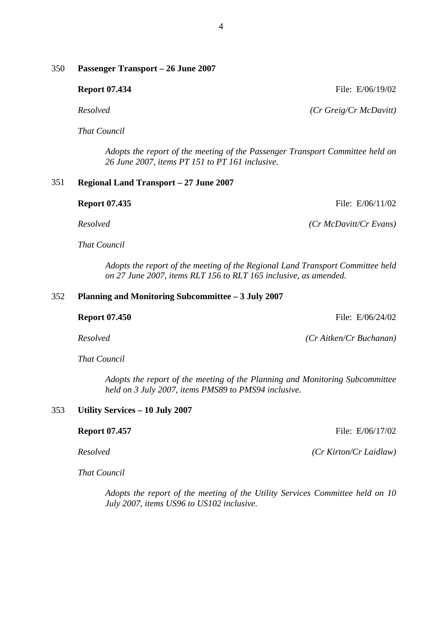# 350 **Passenger Transport – 26 June 2007**

**Report 07.434** File: E/06/19/02

 *Resolved (Cr Greig/Cr McDavitt)*

 *That Council* 

 *Adopts the report of the meeting of the Passenger Transport Committee held on 26 June 2007, items PT 151 to PT 161 inclusive.* 

### 351 **Regional Land Transport – 27 June 2007**

| <b>Report 07.435</b> | File: $E/06/11/02$          |
|----------------------|-----------------------------|
| Resolved             | $(Cr\,McDavitt/Cr\, Evans)$ |

 *That Council* 

 *Adopts the report of the meeting of the Regional Land Transport Committee held on 27 June 2007, items RLT 156 to RLT 165 inclusive, as amended.* 

### 352 **Planning and Monitoring Subcommittee – 3 July 2007**

 *Resolved (Cr Aitken/Cr Buchanan)*

 *That Council* 

 *Adopts the report of the meeting of the Planning and Monitoring Subcommittee held on 3 July 2007, items PMS89 to PMS94 inclusive.* 

## 353 **Utility Services – 10 July 2007**

 *Resolved (Cr Kirton/Cr Laidlaw)*

 *That Council* 

 *Adopts the report of the meeting of the Utility Services Committee held on 10 July 2007, items US96 to US102 inclusive.* 

**Report 07.457 File: E/06/17/02** 

**Report 07.450 File: E/06/24/02**